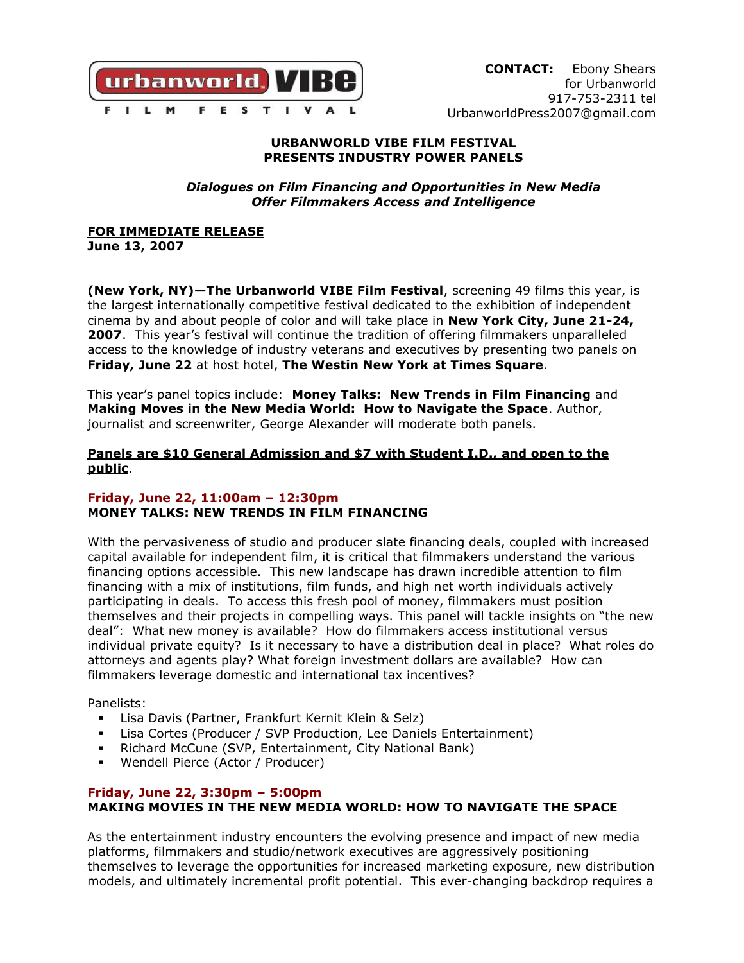

### **URBANWORLD VIBE FILM FESTIVAL PRESENTS INDUSTRY POWER PANELS**

*Dialogues on Film Financing and Opportunities in New Media Offer Filmmakers Access and Intelligence*

**FOR IMMEDIATE RELEASE**

**June 13, 2007**

**(New York, NY)—The Urbanworld VIBE Film Festival**, screening 49 films this year, is the largest internationally competitive festival dedicated to the exhibition of independent cinema by and about people of color and will take place in **New York City, June 21-24, 2007**. This year's festival will continue the tradition of offering filmmakers unparalleled access to the knowledge of industry veterans and executives by presenting two panels on **Friday, June 22** at host hotel, **The Westin New York at Times Square**.

This year's panel topics include: **Money Talks: New Trends in Film Financing** and **Making Moves in the New Media World: How to Navigate the Space**. Author, journalist and screenwriter, George Alexander will moderate both panels.

## **Panels are \$10 General Admission and \$7 with Student I.D., and open to the public**.

## **Friday, June 22, 11:00am – 12:30pm MONEY TALKS: NEW TRENDS IN FILM FINANCING**

With the pervasiveness of studio and producer slate financing deals, coupled with increased capital available for independent film, it is critical that filmmakers understand the various financing options accessible. This new landscape has drawn incredible attention to film financing with a mix of institutions, film funds, and high net worth individuals actively participating in deals. To access this fresh pool of money, filmmakers must position themselves and their projects in compelling ways. This panel will tackle insights on "the new deal": What new money is available? How do filmmakers access institutional versus individual private equity? Is it necessary to have a distribution deal in place? What roles do attorneys and agents play? What foreign investment dollars are available? How can filmmakers leverage domestic and international tax incentives?

Panelists:

- Lisa Davis (Partner, Frankfurt Kernit Klein & Selz)
- Lisa Cortes (Producer / SVP Production, Lee Daniels Entertainment)
- Richard McCune (SVP, Entertainment, City National Bank)
- Wendell Pierce (Actor / Producer)

# **Friday, June 22, 3:30pm – 5:00pm MAKING MOVIES IN THE NEW MEDIA WORLD: HOW TO NAVIGATE THE SPACE**

As the entertainment industry encounters the evolving presence and impact of new media platforms, filmmakers and studio/network executives are aggressively positioning themselves to leverage the opportunities for increased marketing exposure, new distribution models, and ultimately incremental profit potential. This ever-changing backdrop requires a